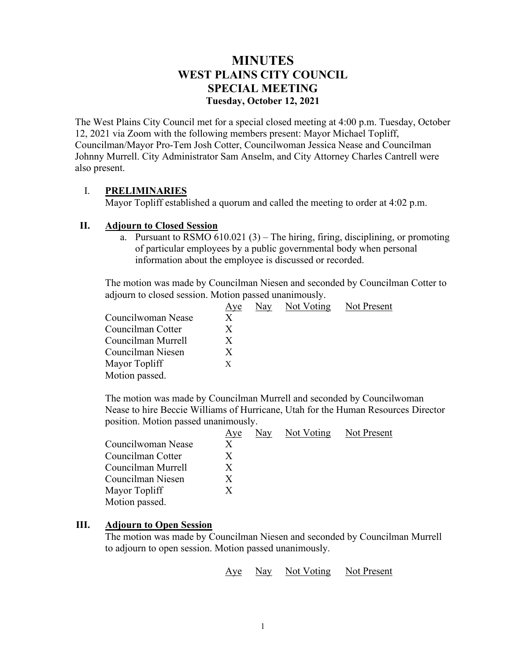# **MINUTES WEST PLAINS CITY COUNCIL SPECIAL MEETING Tuesday, October 12, 2021**

The West Plains City Council met for a special closed meeting at 4:00 p.m. Tuesday, October 12, 2021 via Zoom with the following members present: Mayor Michael Topliff, Councilman/Mayor Pro-Tem Josh Cotter, Councilwoman Jessica Nease and Councilman Johnny Murrell. City Administrator Sam Anselm, and City Attorney Charles Cantrell were also present.

## I. **PRELIMINARIES**

Mayor Topliff established a quorum and called the meeting to order at 4:02 p.m.

### **II. Adjourn to Closed Session**

a. Pursuant to RSMO  $610.021(3)$  – The hiring, firing, disciplining, or promoting of particular employees by a public governmental body when personal information about the employee is discussed or recorded.

The motion was made by Councilman Niesen and seconded by Councilman Cotter to adjourn to closed session. Motion passed unanimously.

|                    | Aye | Nay | Not Voting | Not Present |
|--------------------|-----|-----|------------|-------------|
| Councilwoman Nease | X   |     |            |             |
| Councilman Cotter  | X   |     |            |             |
| Councilman Murrell | X   |     |            |             |
| Councilman Niesen  | X   |     |            |             |
| Mayor Topliff      | X   |     |            |             |
| Motion passed.     |     |     |            |             |

The motion was made by Councilman Murrell and seconded by Councilwoman Nease to hire Beccie Williams of Hurricane, Utah for the Human Resources Director position. Motion passed unanimously.

|                    | Aye | Nay | Not Voting Not Present |
|--------------------|-----|-----|------------------------|
| Councilwoman Nease | X   |     |                        |
| Councilman Cotter  | X   |     |                        |
| Councilman Murrell | X   |     |                        |
| Councilman Niesen  | X   |     |                        |
| Mayor Topliff      | X   |     |                        |
| Motion passed.     |     |     |                        |

### **III. Adjourn to Open Session**

The motion was made by Councilman Niesen and seconded by Councilman Murrell to adjourn to open session. Motion passed unanimously.

Aye Nay Not Voting Not Present